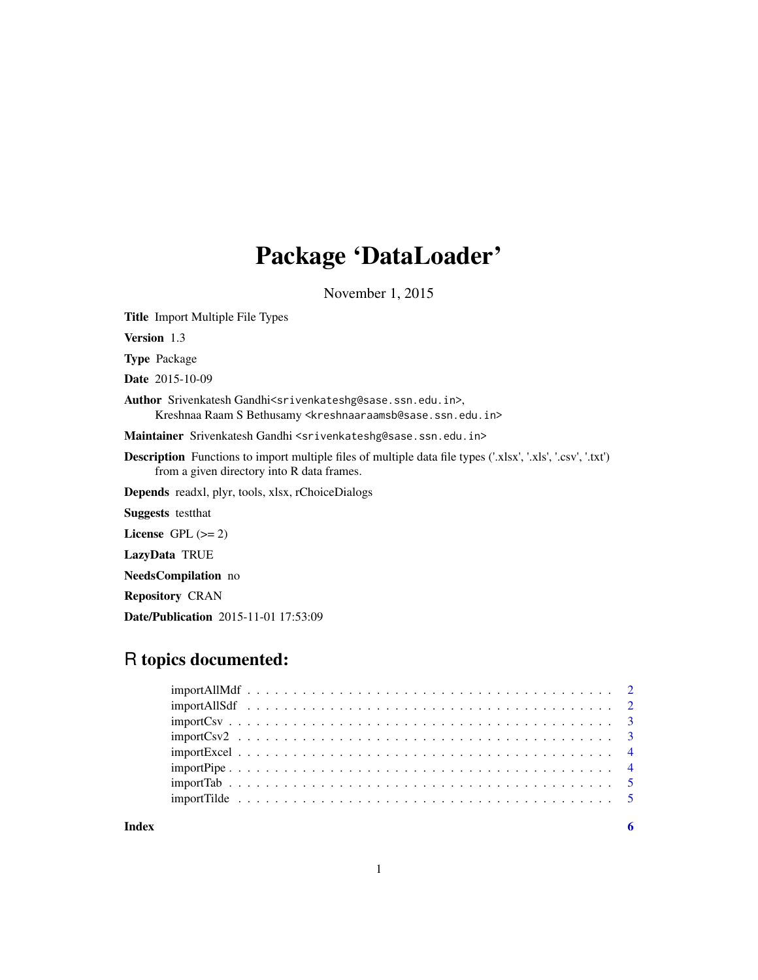## Package 'DataLoader'

November 1, 2015

Title Import Multiple File Types

Version 1.3

Type Package

Date 2015-10-09

Author Srivenkatesh Gandhi<srivenkateshg@sase.ssn.edu.in>, Kreshnaa Raam S Bethusamy <kreshnaaraamsb@sase.ssn.edu.in>

Maintainer Srivenkatesh Gandhi <srivenkateshg@sase.ssn.edu.in>

Description Functions to import multiple files of multiple data file types ('.xlsx', '.xls', '.csv', '.txt') from a given directory into R data frames.

Depends readxl, plyr, tools, xlsx, rChoiceDialogs

Suggests testthat

License GPL  $(>= 2)$ 

LazyData TRUE

NeedsCompilation no

Repository CRAN

Date/Publication 2015-11-01 17:53:09

### R topics documented:

|       | $import \textsf{Csv} \dots \dots \dots \dots \dots \dots \dots \dots \dots \dots \dots \dots \dots \dots \dots \dots$ |  |  |  |  |  |  |  |  |  |  |  |  |  |  |  |  |  |  |
|-------|-----------------------------------------------------------------------------------------------------------------------|--|--|--|--|--|--|--|--|--|--|--|--|--|--|--|--|--|--|
|       |                                                                                                                       |  |  |  |  |  |  |  |  |  |  |  |  |  |  |  |  |  |  |
|       |                                                                                                                       |  |  |  |  |  |  |  |  |  |  |  |  |  |  |  |  |  |  |
|       |                                                                                                                       |  |  |  |  |  |  |  |  |  |  |  |  |  |  |  |  |  |  |
|       |                                                                                                                       |  |  |  |  |  |  |  |  |  |  |  |  |  |  |  |  |  |  |
|       |                                                                                                                       |  |  |  |  |  |  |  |  |  |  |  |  |  |  |  |  |  |  |
|       |                                                                                                                       |  |  |  |  |  |  |  |  |  |  |  |  |  |  |  |  |  |  |
| Index |                                                                                                                       |  |  |  |  |  |  |  |  |  |  |  |  |  |  |  |  |  |  |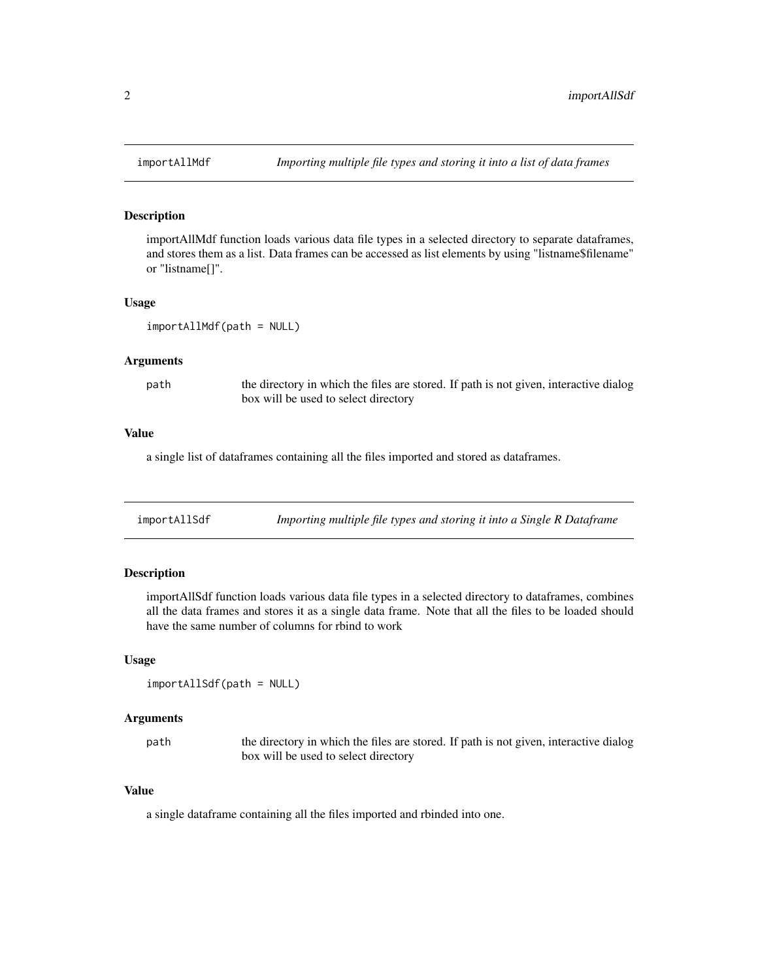#### Description

importAllMdf function loads various data file types in a selected directory to separate dataframes, and stores them as a list. Data frames can be accessed as list elements by using "listname\$filename" or "listname[]".

#### Usage

```
importAllMdf(path = NULL)
```
#### Arguments

path the directory in which the files are stored. If path is not given, interactive dialog box will be used to select directory

#### Value

a single list of dataframes containing all the files imported and stored as dataframes.

| importAllSdf |  | Importing multiple file types and storing it into a Single R Dataframe |
|--------------|--|------------------------------------------------------------------------|
|              |  |                                                                        |

#### Description

importAllSdf function loads various data file types in a selected directory to dataframes, combines all the data frames and stores it as a single data frame. Note that all the files to be loaded should have the same number of columns for rbind to work

#### Usage

```
importAllSdf(path = NULL)
```
#### Arguments

path the directory in which the files are stored. If path is not given, interactive dialog box will be used to select directory

#### Value

a single dataframe containing all the files imported and rbinded into one.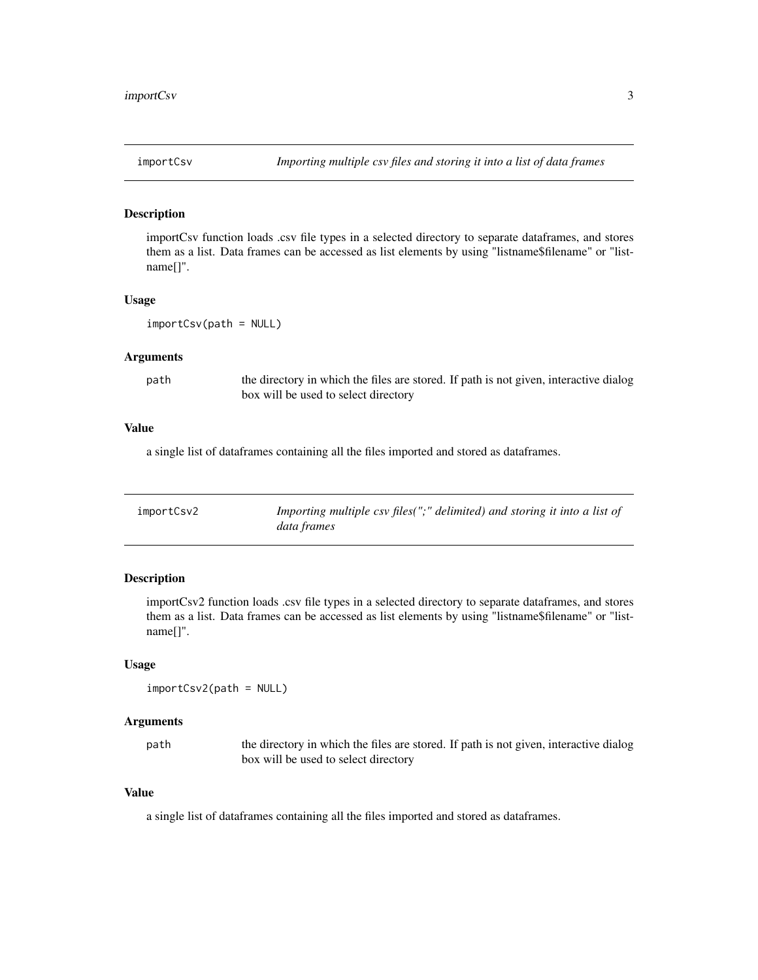<span id="page-2-0"></span>

#### Description

importCsv function loads .csv file types in a selected directory to separate dataframes, and stores them as a list. Data frames can be accessed as list elements by using "listname\$filename" or "listname[]".

#### Usage

importCsv(path = NULL)

#### Arguments

path the directory in which the files are stored. If path is not given, interactive dialog box will be used to select directory

#### Value

a single list of dataframes containing all the files imported and stored as dataframes.

| importCsv2 | Importing multiple csv files(";" delimited) and storing it into a list of |
|------------|---------------------------------------------------------------------------|
|            | data frames                                                               |

#### Description

importCsv2 function loads .csv file types in a selected directory to separate dataframes, and stores them as a list. Data frames can be accessed as list elements by using "listname\$filename" or "listname[]".

#### Usage

```
importCsv2(path = NULL)
```
#### Arguments

path the directory in which the files are stored. If path is not given, interactive dialog box will be used to select directory

#### Value

a single list of dataframes containing all the files imported and stored as dataframes.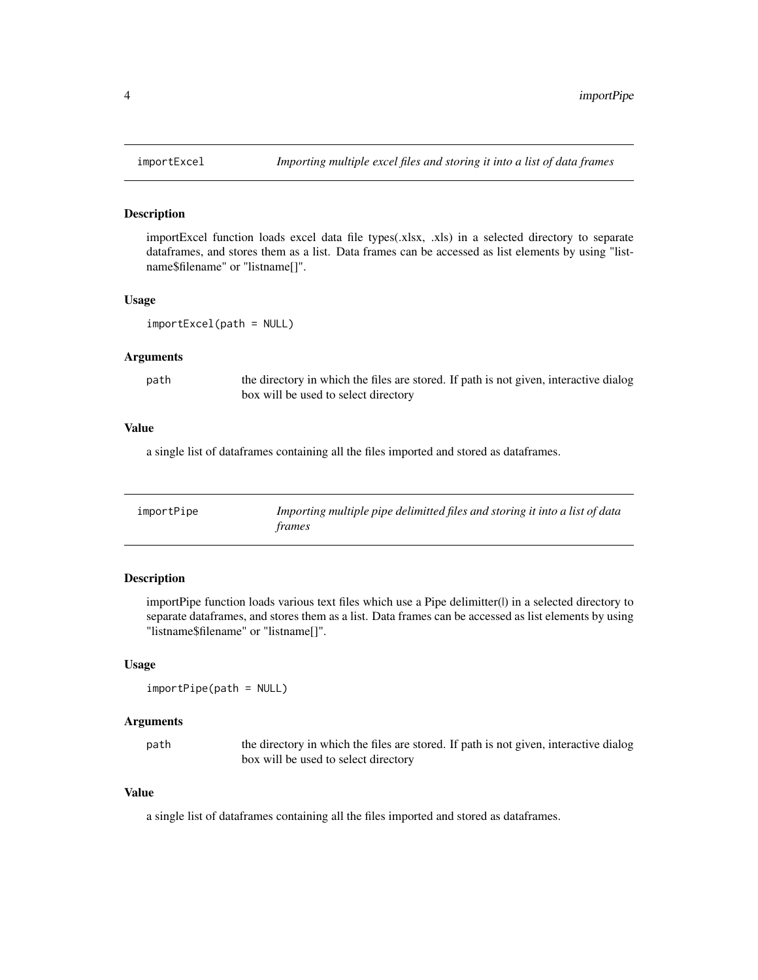#### Description

importExcel function loads excel data file types(.xlsx, .xls) in a selected directory to separate dataframes, and stores them as a list. Data frames can be accessed as list elements by using "listname\$filename" or "listname[]".

#### Usage

```
importExcel(path = NULL)
```
#### Arguments

path the directory in which the files are stored. If path is not given, interactive dialog box will be used to select directory

#### Value

a single list of dataframes containing all the files imported and stored as dataframes.

| importPipe | Importing multiple pipe delimitted files and storing it into a list of data |
|------------|-----------------------------------------------------------------------------|
|            | trames                                                                      |

#### Description

importPipe function loads various text files which use a Pipe delimitter(|) in a selected directory to separate dataframes, and stores them as a list. Data frames can be accessed as list elements by using "listname\$filename" or "listname[]".

#### Usage

importPipe(path = NULL)

#### Arguments

path the directory in which the files are stored. If path is not given, interactive dialog box will be used to select directory

#### Value

a single list of dataframes containing all the files imported and stored as dataframes.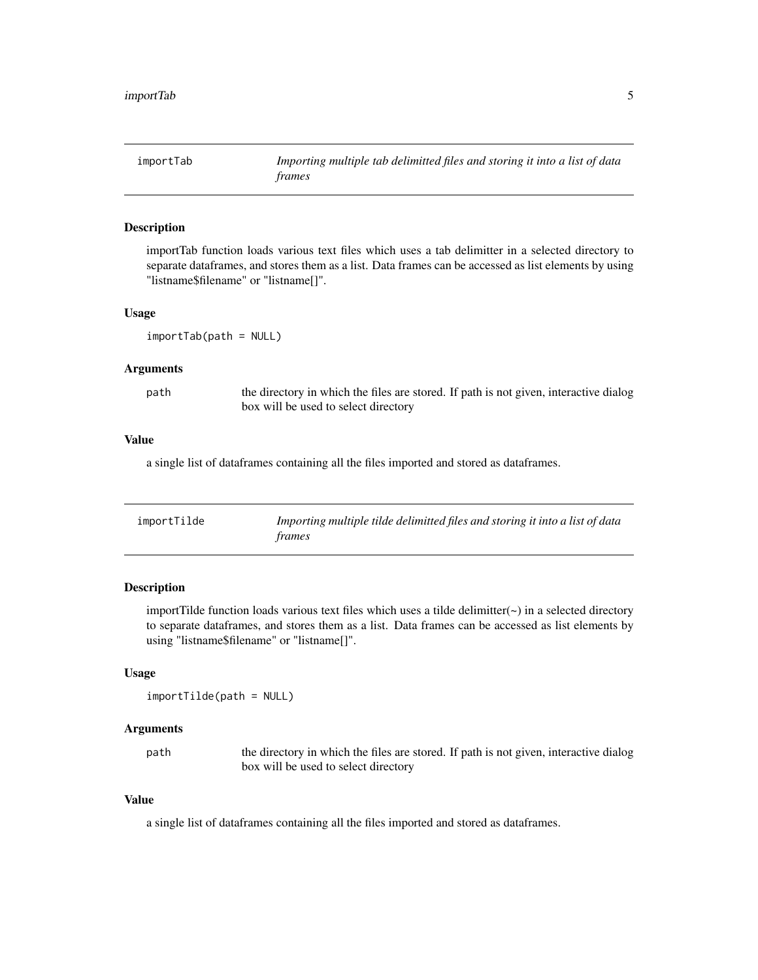<span id="page-4-0"></span>importTab *Importing multiple tab delimitted files and storing it into a list of data frames*

#### Description

importTab function loads various text files which uses a tab delimitter in a selected directory to separate dataframes, and stores them as a list. Data frames can be accessed as list elements by using "listname\$filename" or "listname[]".

#### Usage

importTab(path = NULL)

#### Arguments

path the directory in which the files are stored. If path is not given, interactive dialog box will be used to select directory

#### Value

a single list of dataframes containing all the files imported and stored as dataframes.

| importTilde | Importing multiple tilde delimitted files and storing it into a list of data<br>frames |
|-------------|----------------------------------------------------------------------------------------|
|-------------|----------------------------------------------------------------------------------------|

#### Description

importTilde function loads various text files which uses a tilde delimitter( $\sim$ ) in a selected directory to separate dataframes, and stores them as a list. Data frames can be accessed as list elements by using "listname\$filename" or "listname[]".

#### Usage

```
importTilde(path = NULL)
```
#### Arguments

path the directory in which the files are stored. If path is not given, interactive dialog box will be used to select directory

#### Value

a single list of dataframes containing all the files imported and stored as dataframes.